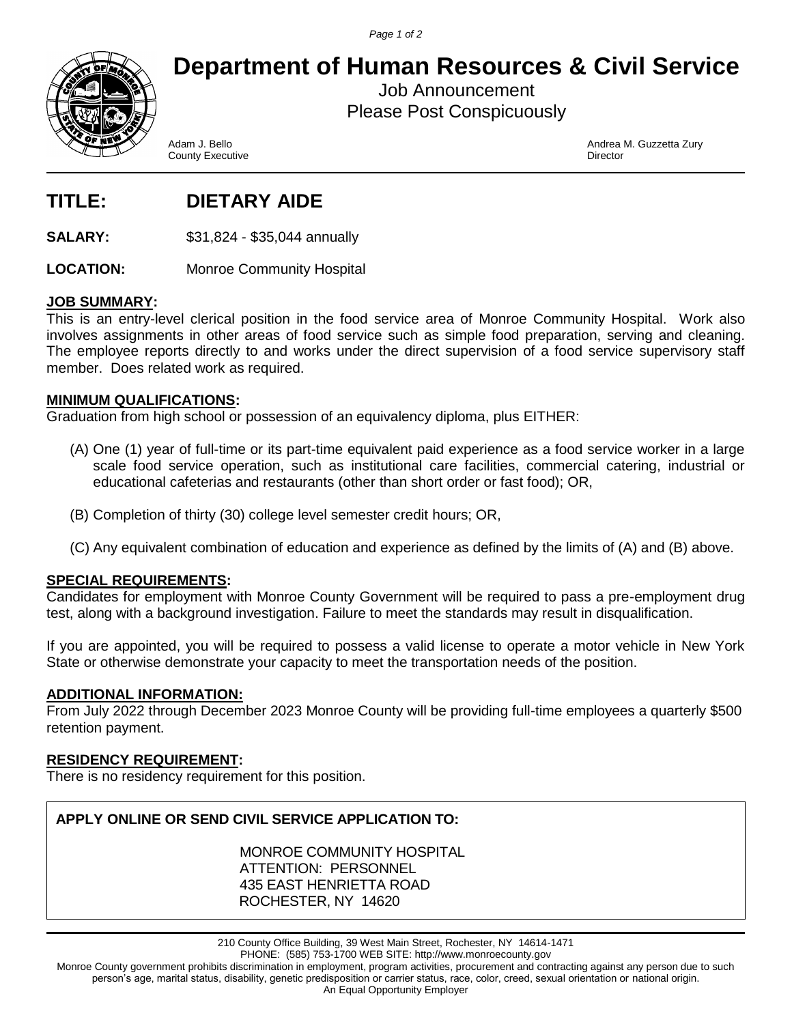*Page 1 of 2*



**Department of Human Resources & Civil Service**

Job Announcement Please Post Conspicuously

County Executive

Adam J. Bello Andrea M. Guzzetta Zury

# **TITLE: DIETARY AIDE**

**SALARY:** \$31,824 - \$35,044 annually

LOCATION: Monroe Community Hospital

## **JOB SUMMARY:**

This is an entry-level clerical position in the food service area of Monroe Community Hospital. Work also involves assignments in other areas of food service such as simple food preparation, serving and cleaning. The employee reports directly to and works under the direct supervision of a food service supervisory staff member. Does related work as required.

## **MINIMUM QUALIFICATIONS:**

Graduation from high school or possession of an equivalency diploma, plus EITHER:

- (A) One (1) year of full-time or its part-time equivalent paid experience as a food service worker in a large scale food service operation, such as institutional care facilities, commercial catering, industrial or educational cafeterias and restaurants (other than short order or fast food); OR,
- (B) Completion of thirty (30) college level semester credit hours; OR,
- (C) Any equivalent combination of education and experience as defined by the limits of (A) and (B) above.

# **SPECIAL REQUIREMENTS:**

Candidates for employment with Monroe County Government will be required to pass a pre-employment drug test, along with a background investigation. Failure to meet the standards may result in disqualification.

If you are appointed, you will be required to possess a valid license to operate a motor vehicle in New York State or otherwise demonstrate your capacity to meet the transportation needs of the position.

#### **ADDITIONAL INFORMATION:**

From July 2022 through December 2023 Monroe County will be providing full-time employees a quarterly \$500 retention payment.

#### **RESIDENCY REQUIREMENT:**

There is no residency requirement for this position.

# **APPLY ONLINE OR SEND CIVIL SERVICE APPLICATION TO:**

MONROE COMMUNITY HOSPITAL ATTENTION: PERSONNEL 435 EAST HENRIETTA ROAD ROCHESTER, NY 14620